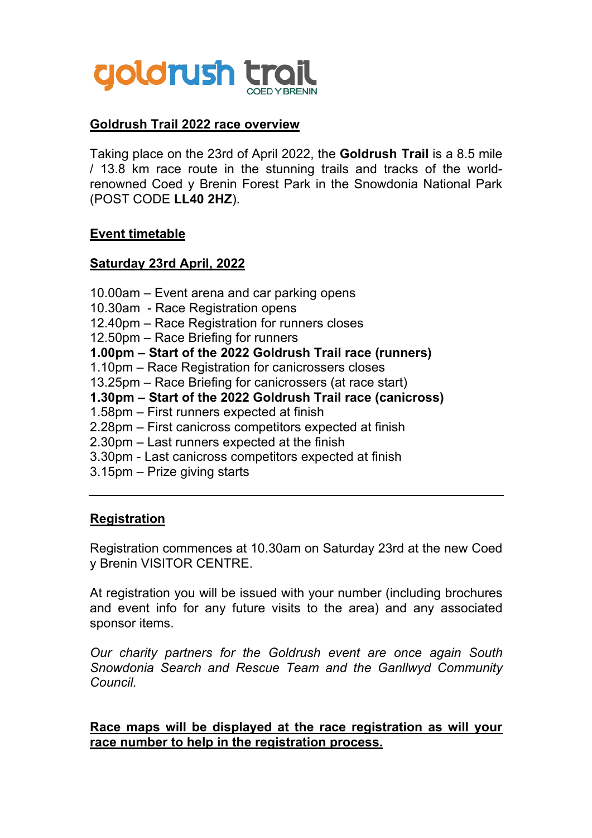

## **Goldrush Trail 2022 race overview**

Taking place on the 23rd of April 2022, the **Goldrush Trail** is a 8.5 mile / 13.8 km race route in the stunning trails and tracks of the worldrenowned Coed y Brenin Forest Park in the Snowdonia National Park (POST CODE **LL40 2HZ**).

#### **Event timetable**

#### **Saturday 23rd April, 2022**

10.00am – Event arena and car parking opens 10.30am - Race Registration opens 12.40pm – Race Registration for runners closes 12.50pm – Race Briefing for runners **1.00pm – Start of the 2022 Goldrush Trail race (runners)** 1.10pm – Race Registration for canicrossers closes 13.25pm – Race Briefing for canicrossers (at race start) **1.30pm – Start of the 2022 Goldrush Trail race (canicross)** 1.58pm – First runners expected at finish 2.28pm – First canicross competitors expected at finish 2.30pm – Last runners expected at the finish 3.30pm - Last canicross competitors expected at finish 3.15pm – Prize giving starts

### **Registration**

Registration commences at 10.30am on Saturday 23rd at the new Coed y Brenin VISITOR CENTRE.

At registration you will be issued with your number (including brochures and event info for any future visits to the area) and any associated sponsor items.

*Our charity partners for the Goldrush event are once again South Snowdonia Search and Rescue Team and the Ganllwyd Community Council.*

#### **Race maps will be displayed at the race registration as will your race number to help in the registration process.**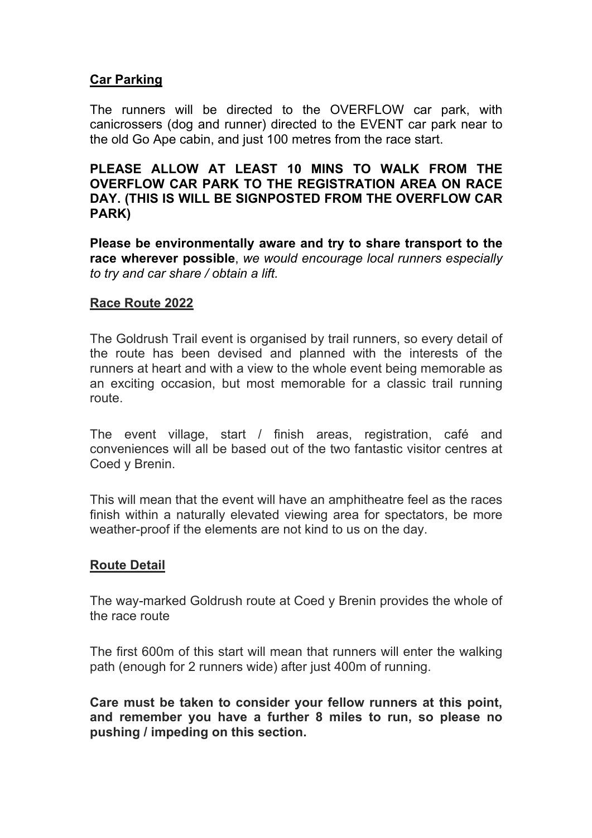## **Car Parking**

The runners will be directed to the OVERFLOW car park, with canicrossers (dog and runner) directed to the EVENT car park near to the old Go Ape cabin, and just 100 metres from the race start.

### **PLEASE ALLOW AT LEAST 10 MINS TO WALK FROM THE OVERFLOW CAR PARK TO THE REGISTRATION AREA ON RACE DAY. (THIS IS WILL BE SIGNPOSTED FROM THE OVERFLOW CAR PARK)**

**Please be environmentally aware and try to share transport to the race wherever possible**, *we would encourage local runners especially to try and car share / obtain a lift.*

### **Race Route 2022**

The Goldrush Trail event is organised by trail runners, so every detail of the route has been devised and planned with the interests of the runners at heart and with a view to the whole event being memorable as an exciting occasion, but most memorable for a classic trail running route.

The event village, start / finish areas, registration, café and conveniences will all be based out of the two fantastic visitor centres at Coed y Brenin.

This will mean that the event will have an amphitheatre feel as the races finish within a naturally elevated viewing area for spectators, be more weather-proof if the elements are not kind to us on the day.

### **Route Detail**

The way-marked Goldrush route at Coed y Brenin provides the whole of the race route

The first 600m of this start will mean that runners will enter the walking path (enough for 2 runners wide) after just 400m of running.

**Care must be taken to consider your fellow runners at this point, and remember you have a further 8 miles to run, so please no pushing / impeding on this section.**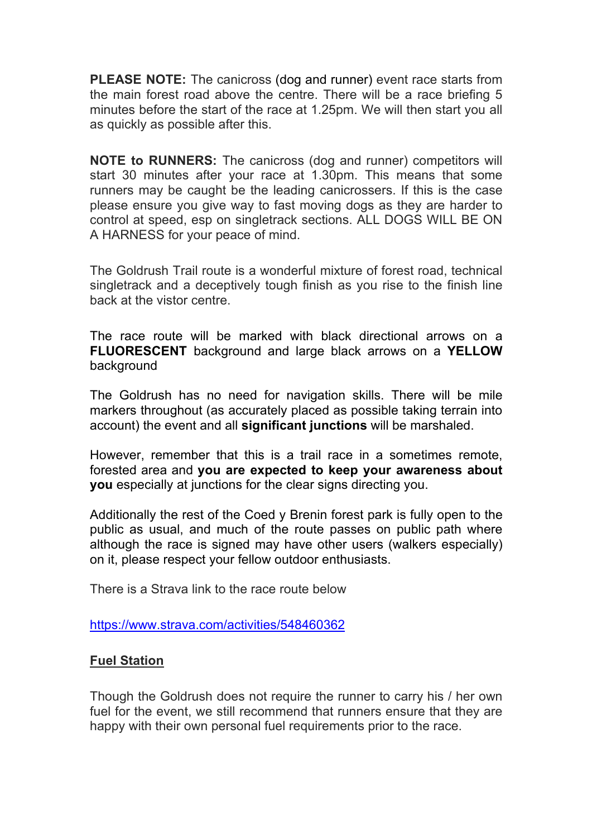**PLEASE NOTE:** The canicross (dog and runner) event race starts from the main forest road above the centre. There will be a race briefing 5 minutes before the start of the race at 1.25pm. We will then start you all as quickly as possible after this.

**NOTE to RUNNERS:** The canicross (dog and runner) competitors will start 30 minutes after your race at 1.30pm. This means that some runners may be caught be the leading canicrossers. If this is the case please ensure you give way to fast moving dogs as they are harder to control at speed, esp on singletrack sections. ALL DOGS WILL BE ON A HARNESS for your peace of mind.

The Goldrush Trail route is a wonderful mixture of forest road, technical singletrack and a deceptively tough finish as you rise to the finish line back at the vistor centre.

The race route will be marked with black directional arrows on a **FLUORESCENT** background and large black arrows on a **YELLOW** background

The Goldrush has no need for navigation skills. There will be mile markers throughout (as accurately placed as possible taking terrain into account) the event and all **significant junctions** will be marshaled.

However, remember that this is a trail race in a sometimes remote, forested area and **you are expected to keep your awareness about you** especially at junctions for the clear signs directing you.

Additionally the rest of the Coed y Brenin forest park is fully open to the public as usual, and much of the route passes on public path where although the race is signed may have other users (walkers especially) on it, please respect your fellow outdoor enthusiasts.

There is a Strava link to the race route below

https://www.strava.com/activities/548460362

### **Fuel Station**

Though the Goldrush does not require the runner to carry his / her own fuel for the event, we still recommend that runners ensure that they are happy with their own personal fuel requirements prior to the race.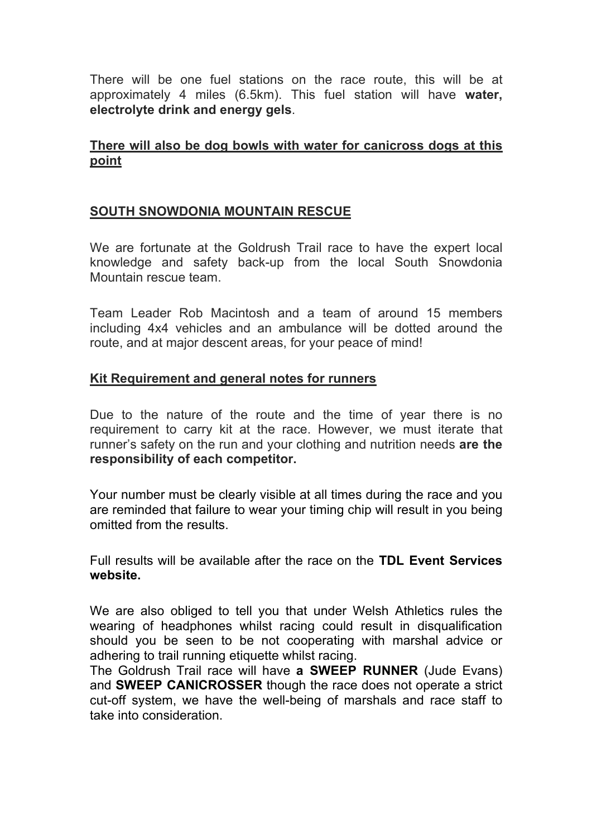There will be one fuel stations on the race route, this will be at approximately 4 miles (6.5km). This fuel station will have **water, electrolyte drink and energy gels**.

## **There will also be dog bowls with water for canicross dogs at this point**

## **SOUTH SNOWDONIA MOUNTAIN RESCUE**

We are fortunate at the Goldrush Trail race to have the expert local knowledge and safety back-up from the local South Snowdonia Mountain rescue team.

Team Leader Rob Macintosh and a team of around 15 members including 4x4 vehicles and an ambulance will be dotted around the route, and at major descent areas, for your peace of mind!

# **Kit Requirement and general notes for runners**

Due to the nature of the route and the time of year there is no requirement to carry kit at the race. However, we must iterate that runner's safety on the run and your clothing and nutrition needs **are the responsibility of each competitor.**

Your number must be clearly visible at all times during the race and you are reminded that failure to wear your timing chip will result in you being omitted from the results.

Full results will be available after the race on the **TDL Event Services website.**

We are also obliged to tell you that under Welsh Athletics rules the wearing of headphones whilst racing could result in disqualification should you be seen to be not cooperating with marshal advice or adhering to trail running etiquette whilst racing.

The Goldrush Trail race will have **a SWEEP RUNNER** (Jude Evans) and **SWEEP CANICROSSER** though the race does not operate a strict cut-off system, we have the well-being of marshals and race staff to take into consideration.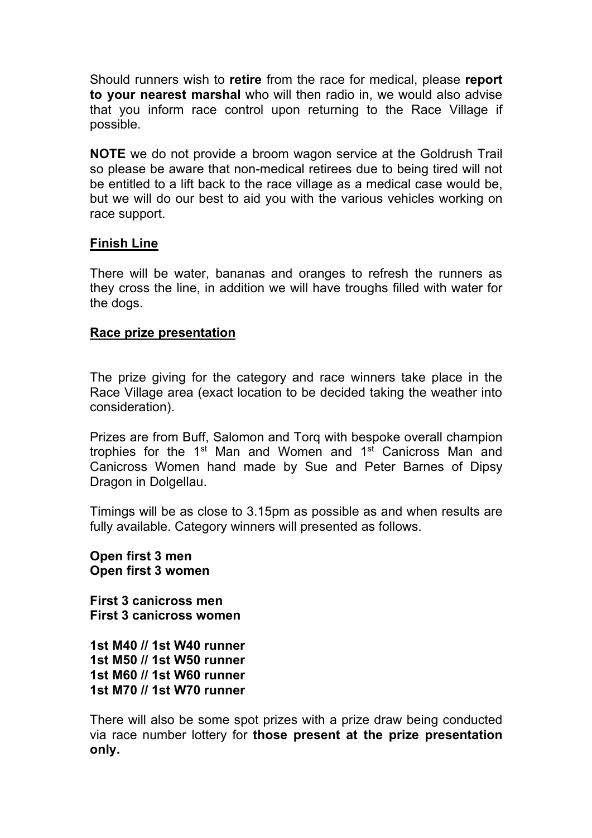Should runners wish to **retire** from the race for medical, please **report to your nearest marshal** who will then radio in, we would also advise that you inform race control upon returning to the Race Village if possible.

**NOTE** we do not provide a broom wagon service at the Goldrush Trail so please be aware that non-medical retirees due to being tired will not be entitled to a lift back to the race village as a medical case would be, but we will do our best to aid you with the various vehicles working on race support.

## **Finish Line**

There will be water, bananas and oranges to refresh the runners as they cross the line, in addition we will have troughs filled with water for the dogs.

### **Race prize presentation**

The prize giving for the category and race winners take place in the Race Village area (exact location to be decided taking the weather into consideration).

Prizes are from Buff, Salomon and Torq with bespoke overall champion trophies for the 1st Man and Women and 1st Canicross Man and Canicross Women hand made by Sue and Peter Barnes of Dipsy Dragon in Dolgellau.

Timings will be as close to 3.15pm as possible as and when results are fully available. Category winners will presented as follows.

**Open first 3 men Open first 3 women**

**First 3 canicross men First 3 canicross women** 

**1st M40 // 1st W40 runner 1st M50 // 1st W50 runner 1st M60 // 1st W60 runner 1st M70 // 1st W70 runner**

There will also be some spot prizes with a prize draw being conducted via race number lottery for **those present at the prize presentation only.**